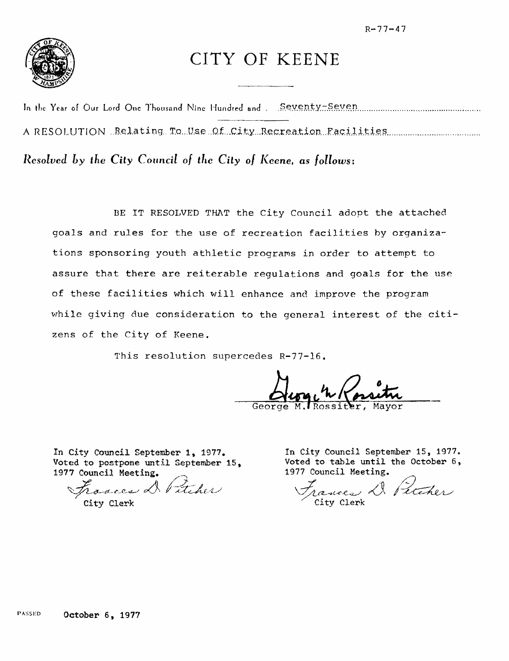$R - 77 - 47$ 



## CITY OF KEENE

A RESOLUTION Relating To Use Of City Recreation Facilities Communication

Resolved by the City Council of the City of Keene, as follows:

BE IT RESOLVED THAT the City Council adopt the attached goals and rules for the use of recreation facilities by organizations sponsoring youth athletic programs in order to attempt to assure that there are reiterable regulations and goals for the use of these facilities which will enhance and improve the program while giving due consideration to the general interest of the citizens of the City of Keene.

This resolution supercedes R-77-16.

In City Council September 1, 1977. Voted to postpone until September 15, 1977 Council Meeting.

Earces D Pitcher

City Clerk

In City Council September 15, 1977. Voted to table until the October 6, 1977 Council Meeting.

Cances De Petcher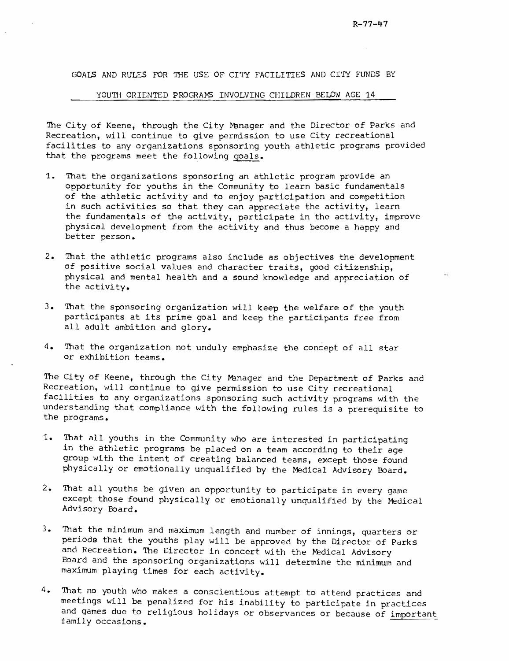GOALS AND RULES FOR THE USE OF CITY FACILITIES AND CITY FUNDS BY

## YOUTH ORIENTED PROGRAMS INVOLVING CHILDREN BELOW AGE 14

The City of Keene, through the City Manager and the Director of Parks and Recreation, will continue to give permission to use City recreational facilities to any organizations sponsoring youth athletic programs provided that the programs meet the following goals.

- 1. That the organizations sponsoring an athletic program provide an opportunity for youths in the Community to learn basic fundamentals of the athletic activity and to enjoy participation and competition in such activities so that they can appreciate the activity, learn the fundamentals of the activity, participate in the activity, improve physical development from the activity and thus become a happy and better person.
- 2. That the athletic programs also include as objectives the development of positive social values and character traits, good citizenship, physical and mental health and a sound knowledge and appreciation of the activity.
- 3. That the sponsoring organization will keep the welfare of the youth participants at its prime goal and keep the participants free from all adult ambition and glory.
- 4. That the organization not unduly emphasize the concept of all star or exhibition teams.

The City of Keene, through the City Manager and the Department of Parks and Recreation, will continue to give permission to use City recreational facilities to any organizations sponsoring such activity programs with the understanding that compliance with the following rules is a prerequisite to the programs.

- 1. That all youths in the Community who are interested in participating in the athletic programs be placed on a team according to their age group with the intent of creating balanced teams, except those found physically or emotionally unqualified by the Medical Advisory Board.
- 2. That all youths be given an opportunity to participate in every game except those found physically or emotionally unqualified by the Medical Advisory Eoard.
- 3. That the minimum and maximum length and number of innings, quarters or periods that the youths play will be approved by the Director of Parks and Recreation. The Director in concert with the Medical Advisory Board and the sponsoring organizations will determine the minimum and maximum playing times for each activity.
- 4. That no youth who makes a conscientious attempt to attend practices and meetings will be penalized for his inability to participate in practices and games due to religious holidays or observances or because of important family occasions.